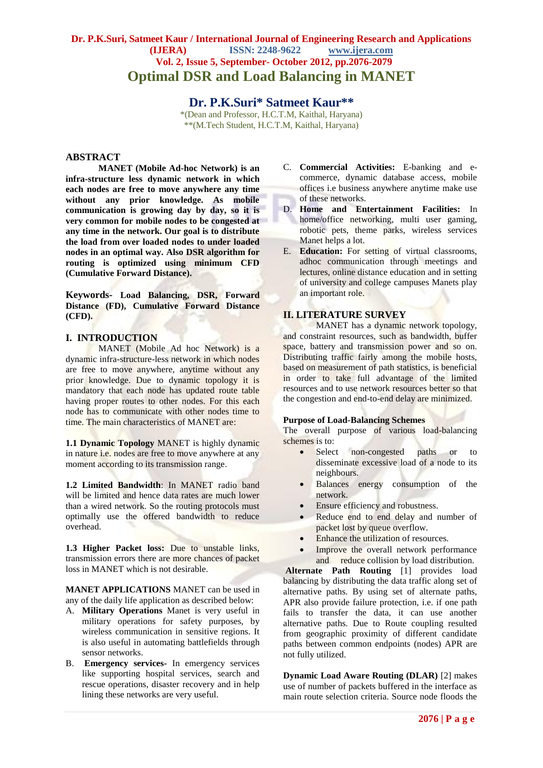# **Dr. P.K.Suri, Satmeet Kaur / International Journal of Engineering Research and Applications (IJERA) ISSN: 2248-9622 www.ijera.com Vol. 2, Issue 5, September- October 2012, pp.2076-2079 Optimal DSR and Load Balancing in MANET**

# **Dr. P.K.Suri\* Satmeet Kaur\*\***

\*(Dean and Professor, H.C.T.M, Kaithal, Haryana) \*\*(M.Tech Student, H.C.T.M, Kaithal, Haryana)

# **ABSTRACT**

**MANET (Mobile Ad-hoc Network) is an infra-structure less dynamic network in which each nodes are free to move anywhere any time without any prior knowledge. As mobile communication is growing day by day, so it is very common for mobile nodes to be congested at any time in the network. Our goal is to distribute the load from over loaded nodes to under loaded nodes in an optimal way. Also DSR algorithm for routing is optimized using minimum CFD (Cumulative Forward Distance).**

**Keywords- Load Balancing, DSR, Forward Distance (FD), Cumulative Forward Distance (CFD).**

## **I. INTRODUCTION**

MANET (Mobile Ad hoc Network) is a dynamic infra-structure-less network in which nodes are free to move anywhere, anytime without any prior knowledge. Due to dynamic topology it is mandatory that each node has updated route table having proper routes to other nodes. For this each node has to communicate with other nodes time to time. The main characteristics of MANET are:

**1.1 Dynamic Topology** MANET is highly dynamic in nature i.e. nodes are free to move anywhere at any moment according to its transmission range.

**1.2 Limited Bandwidth**: In MANET radio band will be limited and hence data rates are much lower than a wired network. So the routing protocols must optimally use the offered bandwidth to reduce overhead.

**1.3 Higher Packet loss:** Due to unstable links, transmission errors there are more chances of packet loss in MANET which is not desirable.

**MANET APPLICATIONS** MANET can be used in any of the daily life application as described below:

- A. **Military Operations** Manet is very useful in military operations for safety purposes, by wireless communication in sensitive regions. It is also useful in automating battlefields through sensor networks.
- B. **Emergency services-** In emergency services like supporting hospital services, search and rescue operations, disaster recovery and in help lining these networks are very useful.
- C. **Commercial Activities:** E-banking and ecommerce, dynamic database access, mobile offices i.e business anywhere anytime make use of these networks.
- D. **Home and Entertainment Facilities:** In home/office networking, multi user gaming, robotic pets, theme parks, wireless services Manet helps a lot.
- E. **Education:** For setting of virtual classrooms, adhoc communication through meetings and lectures, online distance education and in setting of university and college campuses Manets play an important role.

## **II. LITERATURE SURVEY**

MANET has a dynamic network topology. and constraint resources, such as bandwidth, buffer space, battery and transmission power and so on. Distributing traffic fairly among the mobile hosts, based on measurement of path statistics, is beneficial in order to take full advantage of the limited resources and to use network resources better so that the congestion and end-to-end delay are minimized.

#### **Purpose of Load-Balancing Schemes**

The overall purpose of various load-balancing schemes is to:

- Select non-congested paths or to disseminate excessive load of a node to its neighbours.
- Balances energy consumption of the network.
- Ensure efficiency and robustness.
- Reduce end to end delay and number of packet lost by queue overflow.
- Enhance the utilization of resources.
- Improve the overall network performance and reduce collision by load distribution.

**Alternate Path Routing** [1] provides load balancing by distributing the data traffic along set of alternative paths. By using set of alternate paths, APR also provide failure protection, i.e. if one path fails to transfer the data, it can use another alternative paths. Due to Route coupling resulted from geographic proximity of different candidate paths between common endpoints (nodes) APR are not fully utilized.

**Dynamic Load Aware Routing (DLAR)** [2] makes use of number of packets buffered in the interface as main route selection criteria. Source node floods the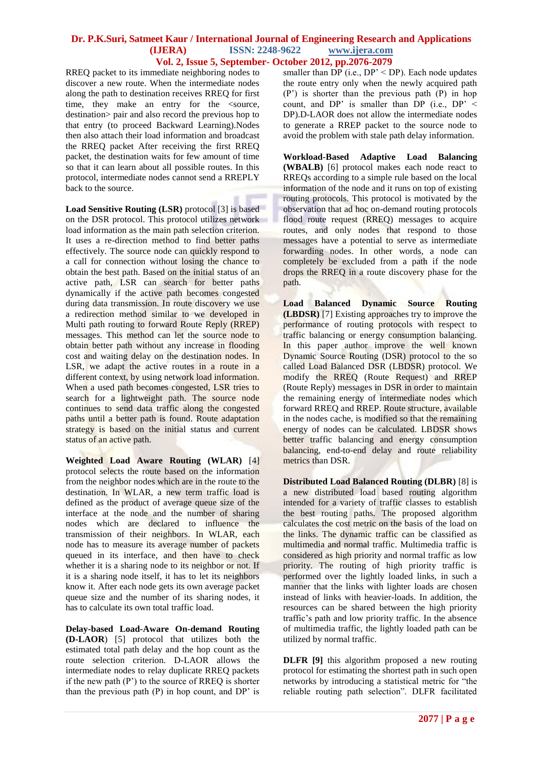## **Dr. P.K.Suri, Satmeet Kaur / International Journal of Engineering Research and Applications (IJERA) ISSN: 2248-9622 www.ijera.com Vol. 2, Issue 5, September- October 2012, pp.2076-2079**

RREQ packet to its immediate neighboring nodes to discover a new route. When the intermediate nodes along the path to destination receives RREQ for first time, they make an entry for the <source, destination> pair and also record the previous hop to that entry (to proceed Backward Learning).Nodes then also attach their load information and broadcast the RREQ packet After receiving the first RREQ packet, the destination waits for few amount of time so that it can learn about all possible routes. In this protocol, intermediate nodes cannot send a RREPLY back to the source.

**Load Sensitive Routing (LSR)** protocol [3] is based on the DSR protocol. This protocol utilizes network load information as the main path selection criterion. It uses a re-direction method to find better paths effectively. The source node can quickly respond to a call for connection without losing the chance to obtain the best path. Based on the initial status of an active path, LSR can search for better paths dynamically if the active path becomes congested during data transmission. In route discovery we use a redirection method similar to we developed in Multi path routing to forward Route Reply (RREP) messages. This method can let the source node to obtain better path without any increase in flooding cost and waiting delay on the destination nodes. In LSR, we adapt the active routes in a route in a different context, by using network load information. When a used path becomes congested, LSR tries to search for a lightweight path. The source node continues to send data traffic along the congested paths until a better path is found. Route adaptation strategy is based on the initial status and current status of an active path.

**Weighted Load Aware Routing (WLAR)** [4] protocol selects the route based on the information from the neighbor nodes which are in the route to the destination. In WLAR, a new term traffic load is defined as the product of average queue size of the interface at the node and the number of sharing nodes which are declared to influence the transmission of their neighbors. In WLAR, each node has to measure its average number of packets queued in its interface, and then have to check whether it is a sharing node to its neighbor or not. If it is a sharing node itself, it has to let its neighbors know it. After each node gets its own average packet queue size and the number of its sharing nodes, it has to calculate its own total traffic load.

**Delay-based Load-Aware On-demand Routing (D-LAOR**) [5] protocol that utilizes both the estimated total path delay and the hop count as the route selection criterion. D-LAOR allows the intermediate nodes to relay duplicate RREQ packets if the new path  $(P')$  to the source of RREQ is shorter than the previous path (P) in hop count, and DP' is

smaller than  $DP$  (i.e.,  $DP' < DP$ ). Each node updates the route entry only when the newly acquired path (P') is shorter than the previous path (P) in hop count, and DP' is smaller than DP (i.e.,  $DP' <$ DP).D-LAOR does not allow the intermediate nodes to generate a RREP packet to the source node to avoid the problem with stale path delay information.

**Workload-Based Adaptive Load Balancing (WBALB)** [6] protocol makes each node react to RREQs according to a simple rule based on the local information of the node and it runs on top of existing routing protocols. This protocol is motivated by the observation that ad hoc on-demand routing protocols flood route request (RREQ) messages to acquire routes, and only nodes that respond to those messages have a potential to serve as intermediate forwarding nodes. In other words, a node can completely be excluded from a path if the node drops the RREQ in a route discovery phase for the path.

**Load Balanced Dynamic Source Routing (LBDSR)** [7] Existing approaches try to improve the performance of routing protocols with respect to traffic balancing or energy consumption balancing. In this paper author improve the well known Dynamic Source Routing (DSR) protocol to the so called Load Balanced DSR (LBDSR) protocol. We modify the RREQ (Route Request) and RREP (Route Reply) messages in DSR in order to maintain the remaining energy of intermediate nodes which forward RREQ and RREP. Route structure, available in the nodes cache, is modified so that the remaining energy of nodes can be calculated. LBDSR shows better traffic balancing and energy consumption balancing, end-to-end delay and route reliability metrics than DSR.

**Distributed Load Balanced Routing (DLBR)** [8] is a new distributed load based routing algorithm intended for a variety of traffic classes to establish the best routing paths. The proposed algorithm calculates the cost metric on the basis of the load on the links. The dynamic traffic can be classified as multimedia and normal traffic. Multimedia traffic is considered as high priority and normal traffic as low priority. The routing of high priority traffic is performed over the lightly loaded links, in such a manner that the links with lighter loads are chosen instead of links with heavier-loads. In addition, the resources can be shared between the high priority traffic's path and low priority traffic. In the absence of multimedia traffic, the lightly loaded path can be utilized by normal traffic.

**DLFR [9]** this algorithm proposed a new routing protocol for estimating the shortest path in such open networks by introducing a statistical metric for "the reliable routing path selection". DLFR facilitated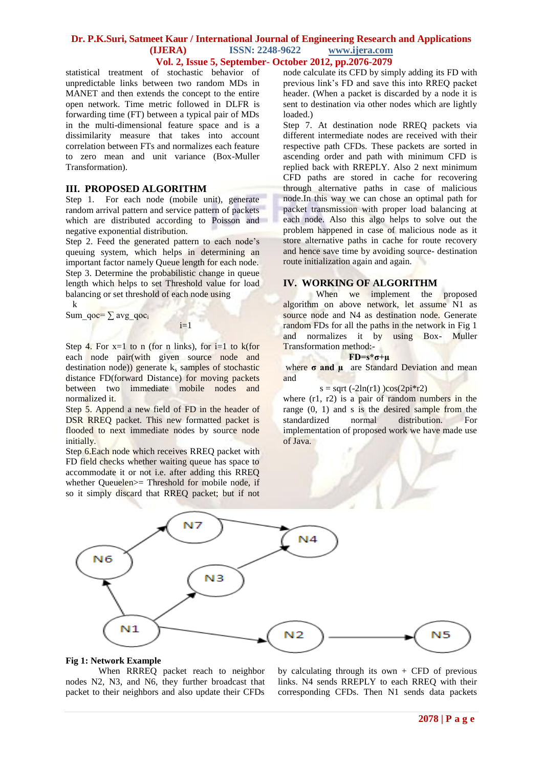## **Dr. P.K.Suri, Satmeet Kaur / International Journal of Engineering Research and Applications (IJERA) ISSN: 2248-9622 www.ijera.com Vol. 2, Issue 5, September- October 2012, pp.2076-2079**

statistical treatment of stochastic behavior of unpredictable links between two random MDs in MANET and then extends the concept to the entire open network. Time metric followed in DLFR is forwarding time (FT) between a typical pair of MDs in the multi-dimensional feature space and is a dissimilarity measure that takes into account correlation between FTs and normalizes each feature to zero mean and unit variance (Box-Muller Transformation).

## **III. PROPOSED ALGORITHM**

Step 1. For each node (mobile unit), generate random arrival pattern and service pattern of packets which are distributed according to Poisson and negative exponential distribution.

Step 2. Feed the generated pattern to each node's queuing system, which helps in determining an important factor namely Queue length for each node. Step 3. Determine the probabilistic change in queue length which helps to set Threshold value for load balancing or set threshold of each node using

 k Sum\_qoc=  $\sum$  avg\_qoc<sub>i</sub>

i=1

Step 4. For  $x=1$  to n (for n links), for  $i=1$  to k(for each node pair(with given source node and destination node)) generate  $k_s$  samples of stochastic distance FD(forward Distance) for moving packets between two immediate mobile nodes and normalized it.

Step 5. Append a new field of FD in the header of DSR RREQ packet. This new formatted packet is flooded to next immediate nodes by source node initially.

Step 6.Each node which receives RREQ packet with FD field checks whether waiting queue has space to accommodate it or not i.e. after adding this RREQ whether Queuelen>= Threshold for mobile node, if so it simply discard that RREQ packet; but if not

node calculate its CFD by simply adding its FD with previous link's FD and save this into RREQ packet header. (When a packet is discarded by a node it is sent to destination via other nodes which are lightly loaded.)

Step 7. At destination node RREQ packets via different intermediate nodes are received with their respective path CFDs. These packets are sorted in ascending order and path with minimum CFD is replied back with RREPLY. Also 2 next minimum CFD paths are stored in cache for recovering through alternative paths in case of malicious node.In this way we can chose an optimal path for packet transmission with proper load balancing at each node. Also this algo helps to solve out the problem happened in case of malicious node as it store alternative paths in cache for route recovery and hence save time by avoiding source- destination route initialization again and again.

#### **IV. WORKING OF ALGORITHM**

When we implement the proposed algorithm on above network, let assume N1 as source node and N4 as destination node. Generate random FDs for all the paths in the network in Fig 1 and normalizes it by using Box- Muller Transformation method:-

## **FD=s\*σ+µ**

where **σ and μ** are Standard Deviation and mean and

```
s = sqrt(-2ln(r1))cos(2pi*r2)
```
where (r1, r2) is a pair of random numbers in the range (0, 1) and s is the desired sample from the standardized normal distribution. For implementation of proposed work we have made use of Java.



# **Fig 1: Network Example**

When RRREQ packet reach to neighbor nodes N2, N3, and N6, they further broadcast that packet to their neighbors and also update their CFDs

by calculating through its own  $+$  CFD of previous links. N4 sends RREPLY to each RREQ with their corresponding CFDs. Then N1 sends data packets